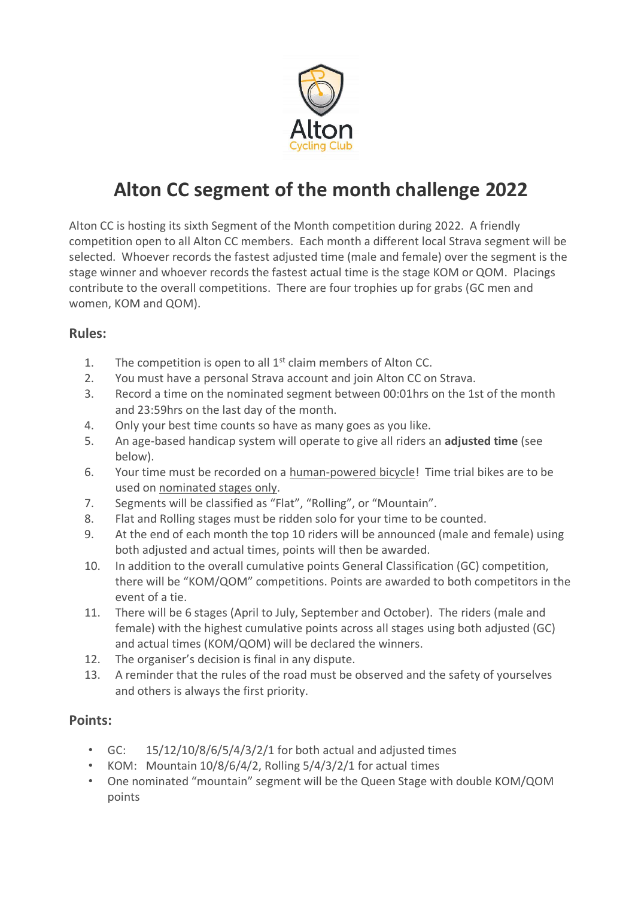

## **Alton CC segment of the month challenge 2022**

Alton CC is hosting its sixth Segment of the Month competition during 2022. A friendly competition open to all Alton CC members. Each month a different local Strava segment will be selected. Whoever records the fastest adjusted time (male and female) over the segment is the stage winner and whoever records the fastest actual time is the stage KOM or QOM. Placings contribute to the overall competitions. There are four trophies up for grabs (GC men and women, KOM and QOM).

## **Rules:**

- 1. The competition is open to all  $1<sup>st</sup>$  claim members of Alton CC.
- 2. You must have a personal Strava account and join Alton CC on Strava.
- 3. Record a time on the nominated segment between 00:01hrs on the 1st of the month and 23:59hrs on the last day of the month.
- 4. Only your best time counts so have as many goes as you like.
- 5. An age-based handicap system will operate to give all riders an **adjusted time** (see below).
- 6. Your time must be recorded on a human-powered bicycle! Time trial bikes are to be used on nominated stages only.
- 7. Segments will be classified as "Flat", "Rolling", or "Mountain".
- 8. Flat and Rolling stages must be ridden solo for your time to be counted.
- 9. At the end of each month the top 10 riders will be announced (male and female) using both adjusted and actual times, points will then be awarded.
- 10. In addition to the overall cumulative points General Classification (GC) competition, there will be "KOM/QOM" competitions. Points are awarded to both competitors in the event of a tie.
- 11. There will be 6 stages (April to July, September and October). The riders (male and female) with the highest cumulative points across all stages using both adjusted (GC) and actual times (KOM/QOM) will be declared the winners.
- 12. The organiser's decision is final in any dispute.
- 13. A reminder that the rules of the road must be observed and the safety of yourselves and others is always the first priority.

## **Points:**

- GC: 15/12/10/8/6/5/4/3/2/1 for both actual and adjusted times
- KOM: Mountain  $10/8/6/4/2$ , Rolling  $5/4/3/2/1$  for actual times
- One nominated "mountain" segment will be the Queen Stage with double KOM/QOM points